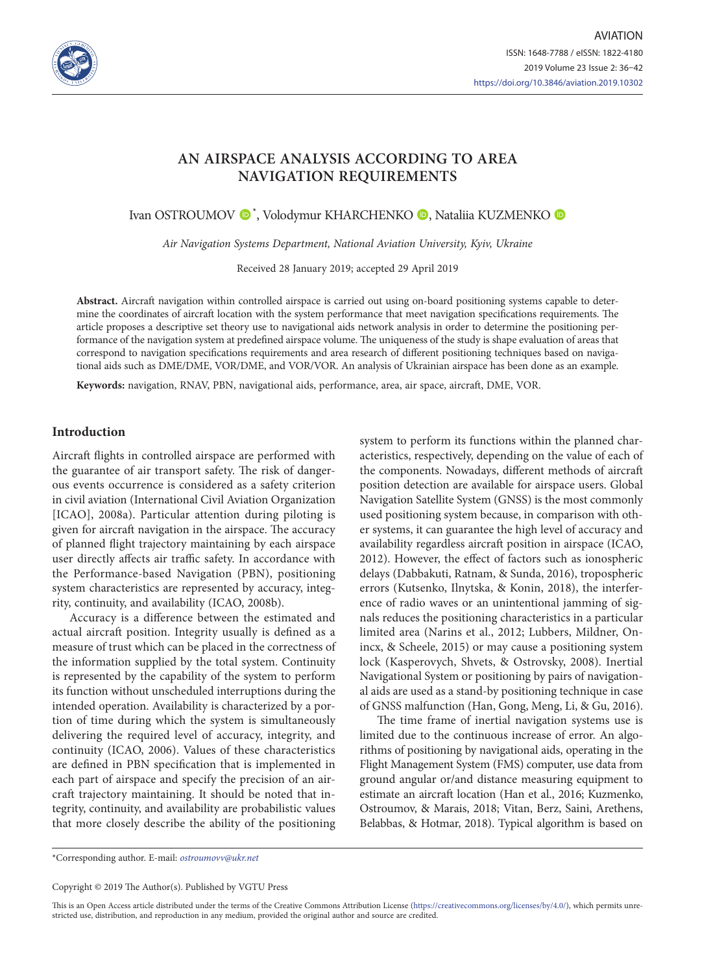

# **AN AIRSPACE ANALYSIS ACCORDING TO AREA NAVIGATION REQUIREMENTS**

Ivan OSTROUMOV ®\*[,](https://orcid.org/0000-0001-7575-4366) Volodymur KHARCHENKO ®, Nataliia KUZMENKO

*Air Navigation Systems Department, National Aviation University, Kyiv, Ukraine*

Received 28 January 2019; accepted 29 April 2019

**Abstract.** Aircraft navigation within controlled airspace is carried out using on-board positioning systems capable to determine the coordinates of aircraft location with the system performance that meet navigation specifications requirements. The article proposes a descriptive set theory use to navigational aids network analysis in order to determine the positioning performance of the navigation system at predefined airspace volume. The uniqueness of the study is shape evaluation of areas that correspond to navigation specifications requirements and area research of different positioning techniques based on navigational aids such as DME/DME, VOR/DME, and VOR/VOR. An analysis of Ukrainian airspace has been done as an example.

**Keywords:** navigation, RNAV, PBN, navigational aids, performance, area, air space, aircraft, DME, VOR.

#### **Introduction**

Aircraft flights in controlled airspace are performed with the guarantee of air transport safety. The risk of dangerous events occurrence is considered as a safety criterion in civil aviation (International Civil Aviation Organization [ICAO], 2008a). Particular attention during piloting is given for aircraft navigation in the airspace. The accuracy of planned flight trajectory maintaining by each airspace user directly affects air traffic safety. In accordance with the Performance-based Navigation (PBN), positioning system characteristics are represented by accuracy, integrity, continuity, and availability (ICAO, 2008b).

Accuracy is a difference between the estimated and actual aircraft position. Integrity usually is defined as a measure of trust which can be placed in the correctness of the information supplied by the total system. Continuity is represented by the capability of the system to perform its function without unscheduled interruptions during the intended operation. Availability is characterized by a portion of time during which the system is simultaneously delivering the required level of accuracy, integrity, and continuity (ICAO, 2006). Values of these characteristics are defined in PBN specification that is implemented in each part of airspace and specify the precision of an aircraft trajectory maintaining. It should be noted that integrity, continuity, and availability are probabilistic values that more closely describe the ability of the positioning

system to perform its functions within the planned characteristics, respectively, depending on the value of each of the components. Nowadays, different methods of aircraft position detection are available for airspace users. Global Navigation Satellite System (GNSS) is the most commonly used positioning system because, in comparison with other systems, it can guarantee the high level of accuracy and availability regardless aircraft position in airspace (ICAO, 2012). However, the effect of factors such as ionospheric delays (Dabbakuti, Ratnam, & Sunda, 2016), tropospheric errors (Kutsenko, Ilnytska, & Konin, 2018), the interference of radio waves or an unintentional jamming of signals reduces the positioning characteristics in a particular limited area (Narins et al., 2012; Lubbers, Mildner, Onincx, & Scheele, 2015) or may cause a positioning system lock (Kasperovych, Shvets, & Ostrovsky, 2008). Inertial Navigational System or positioning by pairs of navigational aids are used as a stand-by positioning technique in case of GNSS malfunction (Han, Gong, Meng, Li, & Gu, 2016).

The time frame of inertial navigation systems use is limited due to the continuous increase of error. An algorithms of positioning by navigational aids, operating in the Flight Management System (FMS) computer, use data from ground angular or/and distance measuring equipment to estimate an aircraft location (Han et al., 2016; Kuzmenko, Ostroumov, & Marais, 2018; Vitan, Berz, Saini, Arethens, Belabbas, & Hotmar, 2018). Typical algorithm is based on

\*Corresponding author. E-mail: *ostroumovv@ukr.net*

Copyright © 2019 The Author(s). Published by VGTU Press

This is an Open Access article distributed under the terms of the Creative Commons Attribution License [\(https://creativecommons.org/licenses/by/4.0/\)](http://creativecommons.org/licenses/by/4.0/), which permits unrestricted use, distribution, and reproduction in any medium, provided the original author and source are credited.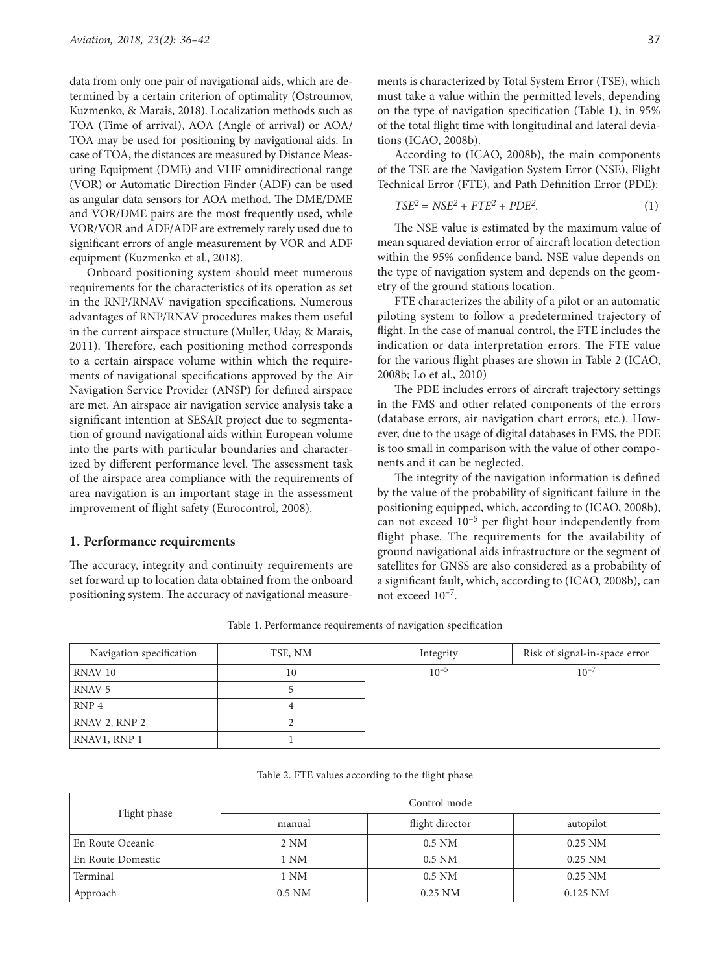data from only one pair of navigational aids, which are determined by a certain criterion of optimality (Ostroumov, Kuzmenko, & Marais, 2018). Localization methods such as TOA (Time of arrival), AOA (Angle of arrival) or AOA/ TOA may be used for positioning by navigational aids. In case of TOA, the distances are measured by Distance Measuring Equipment (DME) and VHF omnidirectional range (VOR) or Automatic Direction Finder (ADF) can be used as angular data sensors for AOA method. The DME/DME and VOR/DME pairs are the most frequently used, while VOR/VOR and ADF/ADF are extremely rarely used due to significant errors of angle measurement by VOR and ADF equipment (Kuzmenko et al., 2018).

Onboard positioning system should meet numerous requirements for the characteristics of its operation as set in the RNP/RNAV navigation specifications. Numerous advantages of RNP/RNAV procedures makes them useful in the current airspace structure (Muller, Uday, & Marais, 2011). Therefore, each positioning method corresponds to a certain airspace volume within which the requirements of navigational specifications approved by the Air Navigation Service Provider (ANSP) for defined airspace are met. An airspace air navigation service analysis take a significant intention at SESAR project due to segmentation of ground navigational aids within European volume into the parts with particular boundaries and characterized by different performance level. The assessment task of the airspace area compliance with the requirements of area navigation is an important stage in the assessment improvement of flight safety (Eurocontrol, 2008).

#### **1. Performance requirements**

The accuracy, integrity and continuity requirements are set forward up to location data obtained from the onboard positioning system. The accuracy of navigational measurements is characterized by Total System Error (TSE), which must take a value within the permitted levels, depending on the type of navigation specification (Table 1), in 95% of the total flight time with longitudinal and lateral deviations (ICAO, 2008b).

According to (ICAO, 2008b), the main components of the TSE are the Navigation System Error (NSE), Flight Technical Error (FTE), and Path Definition Error (PDE):

$$
TSE2 = NSE2 + FTE2 + PDE2.
$$
 (1)

The NSE value is estimated by the maximum value of mean squared deviation error of aircraft location detection within the 95% confidence band. NSE value depends on the type of navigation system and depends on the geometry of the ground stations location.

FTE characterizes the ability of a pilot or an automatic piloting system to follow a predetermined trajectory of flight. In the case of manual control, the FTE includes the indication or data interpretation errors. The FTE value for the various flight phases are shown in Table 2 (ICAO, 2008b; Lo et al., 2010)

The PDE includes errors of aircraft trajectory settings in the FMS and other related components of the errors (database errors, air navigation chart errors, etc.). However, due to the usage of digital databases in FMS, the PDE is too small in comparison with the value of other components and it can be neglected.

The integrity of the navigation information is defined by the value of the probability of significant failure in the positioning equipped, which, according to (ICAO, 2008b), can not exceed  $10^{-5}$  per flight hour independently from flight phase. The requirements for the availability of ground navigational aids infrastructure or the segment of satellites for GNSS are also considered as a probability of a significant fault, which, according to (ICAO, 2008b), can not exceed 10–7.

Table 1. Performance requirements of navigation specification

| Navigation specification | TSE, NM | Integrity | Risk of signal-in-space error |
|--------------------------|---------|-----------|-------------------------------|
| RNAV <sub>10</sub>       | 10      | $10^{-5}$ | $10^{-7}$                     |
| RNAV <sub>5</sub>        |         |           |                               |
| RNP <sub>4</sub>         |         |           |                               |
| RNAV 2, RNP 2            |         |           |                               |
| RNAV1, RNP 1             |         |           |                               |

Table 2. FTE values according to the flight phase

| Flight phase      | Control mode |                 |            |  |
|-------------------|--------------|-----------------|------------|--|
|                   | manual       | flight director | autopilot  |  |
| En Route Oceanic  | 2 NM         | $0.5$ NM        | $0.25$ NM  |  |
| En Route Domestic | 1 NM         | $0.5$ NM        | $0.25$ NM  |  |
| Terminal          | 1 NM         | $0.5$ NM        | $0.25$ NM  |  |
| Approach          | $0.5$ NM     | $0.25$ NM       | $0.125$ NM |  |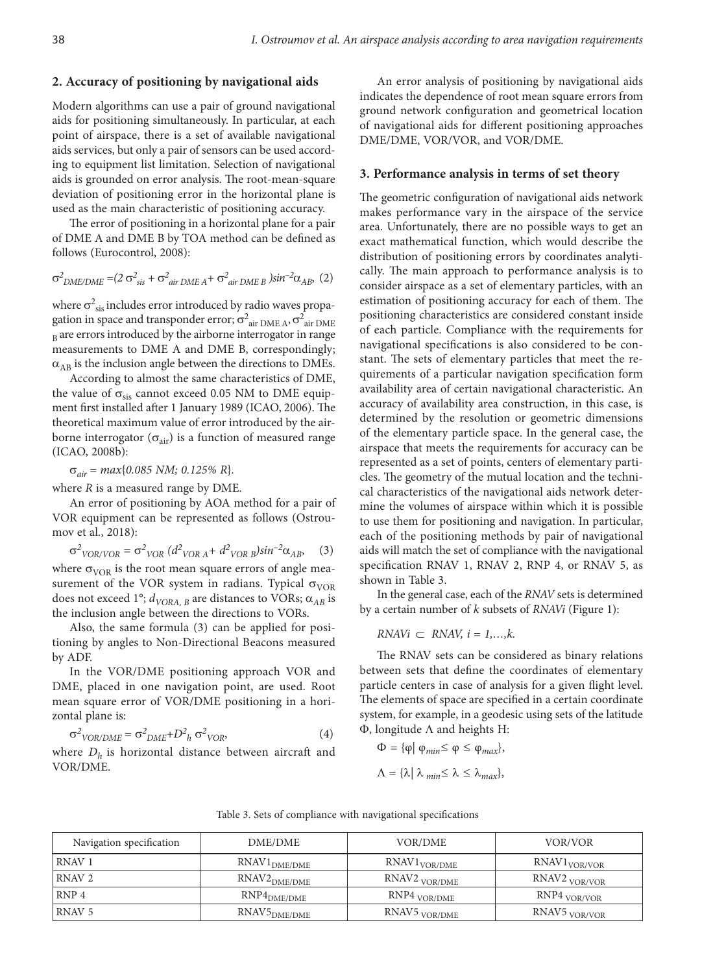#### **2. Accuracy of positioning by navigational aids**

Modern algorithms can use a pair of ground navigational aids for positioning simultaneously. In particular, at each point of airspace, there is a set of available navigational aids services, but only a pair of sensors can be used according to equipment list limitation. Selection of navigational aids is grounded on error analysis. The root-mean-square deviation of positioning error in the horizontal plane is used as the main characteristic of positioning accuracy.

The error of positioning in a horizontal plane for a pair of DME A and DME B by TOA method can be defined as follows (Eurocontrol, 2008):

$$
\sigma_{DME/DME}^2 = (2 \sigma_{sis}^2 + \sigma_{air\ DME\ A}^2 + \sigma_{air\ DME\ B}^2)sin^{-2}\alpha_{AB}, \ (2)
$$

where  $\sigma^2_{\rm sis}$  includes error introduced by radio waves propagation in space and transponder error;  $\sigma^2_{\text{ air DME A}}$ ,  $\sigma^2_{\text{ air DME}}$  $B<sub>B</sub>$  are errors introduced by the airborne interrogator in range measurements to DME A and DME B, correspondingly;  $\alpha_{AB}$  is the inclusion angle between the directions to DMEs.

According to almost the same characteristics of DME, the value of  $\sigma_{\rm sis}$  cannot exceed 0.05 NM to DME equipment first installed after 1 January 1989 (ICAO, 2006). The theoretical maximum value of error introduced by the airborne interrogator ( $\sigma_{air}$ ) is a function of measured range (ICAO, 2008b):

σ*air = max*{*0.085 NM; 0.125% R*}*.*

where *R* is a measured range by DME.

An error of positioning by AOA method for a pair of VOR equipment can be represented as follows (Ostroumov et al., 2018):

$$
\sigma^2_{VOR/VOR} = \sigma^2_{VOR} (d^2_{VOR A} + d^2_{VOR B}) sin^{-2}\alpha_{AB},
$$
 (3)  
where  $\sigma_{VOR}$  is the root mean square errors of angle mea-  
surement of the VOR system in radians. Typical  $\sigma_{VOR}$   
does not exceed 1°;  $d_{VORA,B}$  are distances to VORs;  $\alpha_{AB}$  is  
the inclusion angle between the directions to VORs.

Also, the same formula (3) can be applied for positioning by angles to Non-Directional Beacons measured by ADF.

In the VOR/DME positioning approach VOR and DME, placed in one navigation point, are used. Root mean square error of VOR/DME positioning in a horizontal plane is:

$$
\sigma^2_{VOR/DME} = \sigma^2_{DME} + D^2_h \sigma^2_{VOR},
$$
\n(4)

where  $D_h$  is horizontal distance between aircraft and VOR/DME.

An error analysis of positioning by navigational aids indicates the dependence of root mean square errors from ground network configuration and geometrical location of navigational aids for different positioning approaches DME/DME, VOR/VOR, and VOR/DME.

#### **3. Performance analysis in terms of set theory**

The geometric configuration of navigational aids network makes performance vary in the airspace of the service area. Unfortunately, there are no possible ways to get an exact mathematical function, which would describe the distribution of positioning errors by coordinates analytically. The main approach to performance analysis is to consider airspace as a set of elementary particles, with an estimation of positioning accuracy for each of them. The positioning characteristics are considered constant inside of each particle. Compliance with the requirements for navigational specifications is also considered to be constant. The sets of elementary particles that meet the requirements of a particular navigation specification form availability area of certain navigational characteristic. An accuracy of availability area construction, in this case, is determined by the resolution or geometric dimensions of the elementary particle space. In the general case, the airspace that meets the requirements for accuracy can be represented as a set of points, centers of elementary particles. The geometry of the mutual location and the technical characteristics of the navigational aids network determine the volumes of airspace within which it is possible to use them for positioning and navigation. In particular, each of the positioning methods by pair of navigational aids will match the set of compliance with the navigational specification RNAV 1, RNAV 2, RNP 4, or RNAV 5, as shown in Table 3.

In the general case, each of the *RNAV* sets is determined by a certain number of *k* subsets of *RNAVi* (Figure 1):

$$
RNAVi \subset RNAV, i = 1,...,k.
$$

The RNAV sets can be considered as binary relations between sets that define the coordinates of elementary particle centers in case of analysis for a given flight level. The elements of space are specified in a certain coordinate system, for example, in a geodesic using sets of the latitude Φ, longitude Λ and heights H:

$$
\Phi = {\varphi | \varphi_{min} \le \varphi \le \varphi_{max}},
$$
  

$$
\Lambda = {\lambda | \lambda_{min} \le \lambda \le \lambda_{max}},
$$

| Navigation specification | DME/DME                  | <b>VOR/DME</b>           | VOR/VOR                  |
|--------------------------|--------------------------|--------------------------|--------------------------|
| RNAV <sub>1</sub>        | RNAV1 <sub>DME/DME</sub> | RNAV1 <sub>VOR/DME</sub> | RNAV1 <sub>VOR/VOR</sub> |
| RNAV <sub>2</sub>        | RNAV2 <sub>DME/DME</sub> | RNAV2 <sub>VOR/DME</sub> | RNAV2 <sub>VOR/VOR</sub> |
| RNP <sub>4</sub>         | RNP4 <sub>DME/DME</sub>  | RNP4 <sub>VOR/DME</sub>  | RNP4 <sub>VOR/VOR</sub>  |
| RNAV 5                   | RNAV5 <sub>DME/DME</sub> | RNAV5 <sub>VOR/DME</sub> | RNAV5 <sub>VOR/VOR</sub> |

Table 3. Sets of compliance with navigational specifications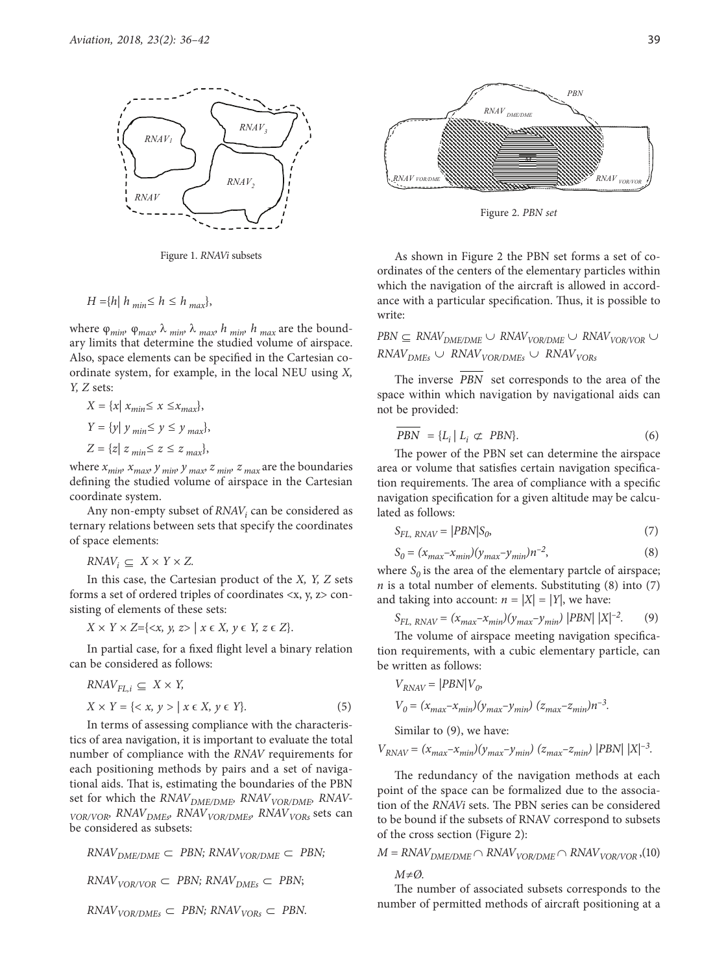

Figure 1. *RNAVi* subsets

$$
H = \{h \mid h_{min} \leq h \leq h_{max}\},\
$$

where  $\varphi_{min}$ ,  $\varphi_{max}$ ,  $\lambda_{min}$ ,  $\lambda_{max}$ ,  $h_{min}$ ,  $h_{max}$  are the boundary limits that determine the studied volume of airspace. Also, space elements can be specified in the Cartesian coordinate system, for example, in the local NEU using *X, Y, Z* sets:

$$
X = \{x \mid x_{min} \le x \le x_{max}\},
$$
  
\n
$$
Y = \{y \mid y_{min} \le y \le y_{max}\},
$$
  
\n
$$
Z = \{z \mid z_{min} \le z \le z_{max}\},
$$

where  $x_{min}$ ,  $x_{max}$ ,  $y_{min}$ ,  $y_{max}$ ,  $z_{min}$ ,  $z_{max}$  are the boundaries defining the studied volume of airspace in the Cartesian coordinate system.

Any non-empty subset of *RNAV<sub>i</sub>* can be considered as ternary relations between sets that specify the coordinates of space elements:

 $RNAV_i \subseteq X \times Y \times Z$ .

In this case, the Cartesian product of the *X, Y, Z* sets forms a set of ordered triples of coordinates <x, y, z> consisting of elements of these sets:

*X* × *Y* × *Z*={<*x*, *y*, *z*> | *x* ∈ *X*, *y* ∈ *Y*, *z* ∈ *Z*}.

In partial case, for a fixed flight level a binary relation can be considered as follows:

$$
RNAV_{FL,i} \subseteq X \times Y,
$$
  

$$
X \times Y = \{ \langle x, y \rangle \mid x \in X, y \in Y \}.
$$
 (5)

In terms of assessing compliance with the characteristics of area navigation, it is important to evaluate the total number of compliance with the *RNAV* requirements for each positioning methods by pairs and a set of navigational aids. That is, estimating the boundaries of the PBN set for which the *RNAV<sub>DME/DME</sub>*, *RNAV<sub>VOR/DME*, *RNAV-*</sub> *VOR/VOR, RNAV<sub>DMEs</sub>, RNAV<sub>VOR/DMEs</sub>, RNAV<sub>VORs</sub>* sets can be considered as subsets:

$$
RNAV_{DME/DME} \subset PBN; RNAV_{VOR/DME} \subset PBN; RNAV_{VOR/VOR} \subset PBN; RNAV_{DMEs} \subset PBN; (200)
$$

 $RNAV<sub>VOR/DMEs</sub> \subset PBN; RNAV<sub>VORs</sub> \subset PBN.$ 



Figure 2. *PBN set*

As shown in Figure 2 the PBN set forms a set of coordinates of the centers of the elementary particles within which the navigation of the aircraft is allowed in accordance with a particular specification. Thus, it is possible to write:

 $PBN \subseteq \text{RNAV}_{\text{DME/DME}} \cup \text{RNAV}_{\text{VOR/DME}} \cup \text{RNAV}_{\text{VOR/VOR}} \cup$  $RNAV_{DMEs} \cup RNAV_{VOR/DMEs} \cup RNAV_{VORs}$ 

The inverse *PBN* set corresponds to the area of the space within which navigation by navigational aids can not be provided:

$$
PBN = \{L_i \mid L_i \subset PBN\}. \tag{6}
$$

The power of the PBN set can determine the airspace area or volume that satisfies certain navigation specification requirements. The area of compliance with a specific navigation specification for a given altitude may be calculated as follows:

$$
S_{FL, \, RNAV} = |PBN|S_0,\tag{7}
$$

$$
S_0 = (x_{max} - x_{min})(y_{max} - y_{min})n^{-2},
$$
\n(8)

where  $S_0$  is the area of the elementary partcle of airspace;  $n$  is a total number of elements. Substituting  $(8)$  into  $(7)$ and taking into account:  $n = |X| = |Y|$ , we have:

$$
S_{FL, \, RNAV} = (x_{max} - x_{min})(y_{max} - y_{min}) \, |PBN| \, |X|^{-2}.\tag{9}
$$

The volume of airspace meeting navigation specification requirements, with a cubic elementary particle, can be written as follows:

$$
V_{RNAV} = |PBN|V_0,
$$
  
\n
$$
V_0 = (x_{max} - x_{min})(y_{max} - y_{min}) (z_{max} - z_{min})n^{-3}.
$$

Similar to (9), we have:

$$
V_{RNAV} = (x_{max} - x_{min})(y_{max} - y_{min}) (z_{max} - z_{min}) |PBN| |X|^{-3}.
$$

The redundancy of the navigation methods at each point of the space can be formalized due to the association of the *RNAVi* sets. The PBN series can be considered to be bound if the subsets of RNAV correspond to subsets of the cross section (Figure 2):

$$
M = RNAV_{DME/DME} \cap RNAV_{VOR/DME} \cap RNAV_{VOR/VOR} , (10)
$$
  

$$
M \neq \emptyset.
$$

The number of associated subsets corresponds to the number of permitted methods of aircraft positioning at a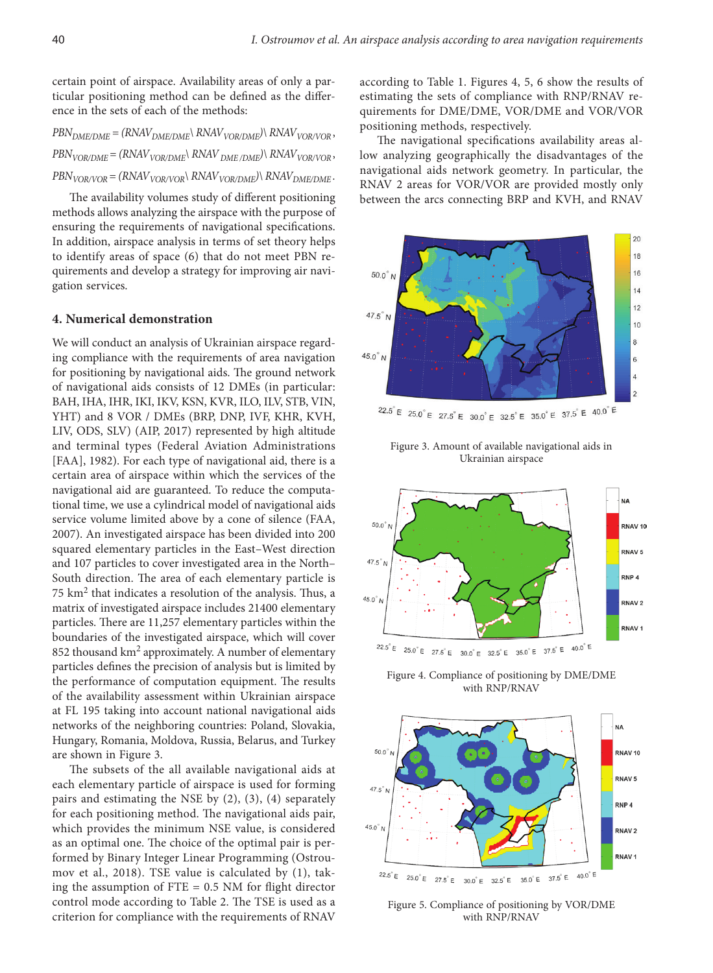certain point of airspace. Availability areas of only a particular positioning method can be defined as the difference in the sets of each of the methods:

 $PBN_{DME/DMF} = (RNAV_{DME/DMF} \setminus RNAV_{VOR/DMF}) \setminus RNAV_{VOR/VOR}$  $PBN_{VOR/DMF} = (RNAV_{VOR/DMF} \setminus RNAV_{DMF/DMF}) \setminus RNAV_{VOR/VMF}$  $PBN_{VOR/VOR} = (RNAV_{VOR/VOR} \setminus RNAV_{VOR/DME}) \setminus RNAV_{DME/DME}$ .

The availability volumes study of different positioning methods allows analyzing the airspace with the purpose of ensuring the requirements of navigational specifications. In addition, airspace analysis in terms of set theory helps to identify areas of space (6) that do not meet PBN requirements and develop a strategy for improving air navigation services.

#### **4. Numerical demonstration**

We will conduct an analysis of Ukrainian airspace regarding compliance with the requirements of area navigation for positioning by navigational aids. The ground network of navigational aids consists of 12 DMEs (in particular: BAH, IHA, IHR, IKI, IKV, KSN, KVR, ILO, ILV, STB, VIN, YHT) and 8 VOR / DMEs (BRP, DNP, IVF, KHR, KVH, LIV, ODS, SLV) (AIP, 2017) represented by high altitude and terminal types (Federal Aviation Administrations [FAA], 1982). For each type of navigational aid, there is a certain area of airspace within which the services of the navigational aid are guaranteed. To reduce the computational time, we use a cylindrical model of navigational aids service volume limited above by a cone of silence (FAA, 2007). An investigated airspace has been divided into 200 squared elementary particles in the East–West direction and 107 particles to cover investigated area in the North– South direction. The area of each elementary particle is  $75 \text{ km}^2$  that indicates a resolution of the analysis. Thus, a matrix of investigated airspace includes 21400 elementary particles. There are 11,257 elementary particles within the boundaries of the investigated airspace, which will cover 852 thousand km<sup>2</sup> approximately. A number of elementary particles defines the precision of analysis but is limited by the performance of computation equipment. The results of the availability assessment within Ukrainian airspace at FL 195 taking into account national navigational aids networks of the neighboring countries: Poland, Slovakia, Hungary, Romania, Moldova, Russia, Belarus, and Turkey are shown in Figure 3.

The subsets of the all available navigational aids at each elementary particle of airspace is used for forming pairs and estimating the NSE by (2), (3), (4) separately for each positioning method. The navigational aids pair, which provides the minimum NSE value, is considered as an optimal one. The choice of the optimal pair is performed by Binary Integer Linear Programming (Ostroumov et al., 2018). TSE value is calculated by (1), taking the assumption of  $FTE = 0.5$  NM for flight director control mode according to Table 2. The TSE is used as a criterion for compliance with the requirements of RNAV

according to Table 1. Figures 4, 5, 6 show the results of estimating the sets of compliance with RNP/RNAV requirements for DME/DME, VOR/DME and VOR/VOR positioning methods, respectively.

The navigational specifications availability areas allow analyzing geographically the disadvantages of the navigational aids network geometry. In particular, the RNAV 2 areas for VOR/VOR are provided mostly only between the arcs connecting BRP and KVH, and RNAV



Figure 3. Amount of available navigational aids in Ukrainian airspace



Figure 4. Compliance of positioning by DME/DME with RNP/RNAV



Figure 5. Compliance of positioning by VOR/DME with RNP/RNAV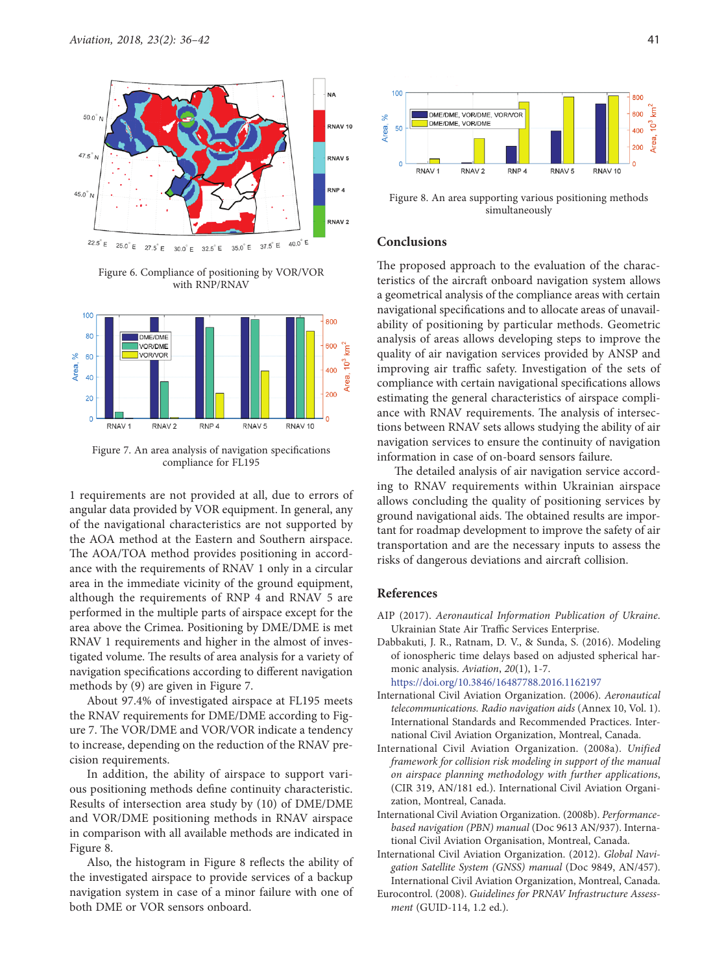

Figure 6. Compliance of positioning by VOR/VOR with RNP/RNAV



Figure 7. An area analysis of navigation specifications compliance for FL195

1 requirements are not provided at all, due to errors of angular data provided by VOR equipment. In general, any of the navigational characteristics are not supported by the AOA method at the Eastern and Southern airspace. The AOA/TOA method provides positioning in accordance with the requirements of RNAV 1 only in a circular area in the immediate vicinity of the ground equipment, although the requirements of RNP 4 and RNAV 5 are performed in the multiple parts of airspace except for the area above the Crimea. Positioning by DME/DME is met RNAV 1 requirements and higher in the almost of investigated volume. The results of area analysis for a variety of navigation specifications according to different navigation methods by (9) are given in Figure 7.

About 97.4% of investigated airspace at FL195 meets the RNAV requirements for DME/DME according to Figure 7. The VOR/DME and VOR/VOR indicate a tendency to increase, depending on the reduction of the RNAV precision requirements.

In addition, the ability of airspace to support various positioning methods define continuity characteristic. Results of intersection area study by (10) of DME/DME and VOR/DME positioning methods in RNAV airspace in comparison with all available methods are indicated in Figure 8.

Also, the histogram in Figure 8 reflects the ability of the investigated airspace to provide services of a backup navigation system in case of a minor failure with one of both DME or VOR sensors onboard.



Figure 8. An area supporting various positioning methods simultaneously

### **Conclusions**

The proposed approach to the evaluation of the characteristics of the aircraft onboard navigation system allows a geometrical analysis of the compliance areas with certain navigational specifications and to allocate areas of unavailability of positioning by particular methods. Geometric analysis of areas allows developing steps to improve the quality of air navigation services provided by ANSP and improving air traffic safety. Investigation of the sets of compliance with certain navigational specifications allows estimating the general characteristics of airspace compliance with RNAV requirements. The analysis of intersections between RNAV sets allows studying the ability of air navigation services to ensure the continuity of navigation information in case of on-board sensors failure.

The detailed analysis of air navigation service according to RNAV requirements within Ukrainian airspace allows concluding the quality of positioning services by ground navigational aids. The obtained results are important for roadmap development to improve the safety of air transportation and are the necessary inputs to assess the risks of dangerous deviations and aircraft collision.

#### **References**

- AIP (2017). *Aeronautical Information Publication of Ukraine*. Ukrainian State Air Traffic Services Enterprise.
- Dabbakuti, J. R., Ratnam, D. V., & Sunda, S. (2016). Modeling of ionospheric time delays based on adjusted spherical harmonic analysis. *Aviation*, *20*(1), 1-7. <https://doi.org/10.3846/16487788.2016.1162197>
- International Civil Aviation Organization. (2006). *Aeronautical telecommunications. Radio navigation aids* (Annex 10, Vol. 1). International Standards and Recommended Practices. International Civil Aviation Organization, Montreal, Canada.
- International Civil Aviation Organization. (2008a). *Unified framework for collision risk modeling in support of the manual on airspace planning methodology with further applications*, (CIR 319, AN/181 ed.). International Civil Aviation Organization, Montreal, Canada.
- International Civil Aviation Organization. (2008b). *Performancebased navigation (PBN) manual* (Doc 9613 AN/937). International Civil Aviation Organisation, Montreal, Canada.
- International Civil Aviation Organization. (2012). *Global Navigation Satellite System (GNSS) manual* (Doc 9849, AN/457). International Civil Aviation Organization, Montreal, Canada.
- Eurocontrol. (2008). *Guidelines for PRNAV Infrastructure Assessment* (GUID-114, 1.2 ed.).